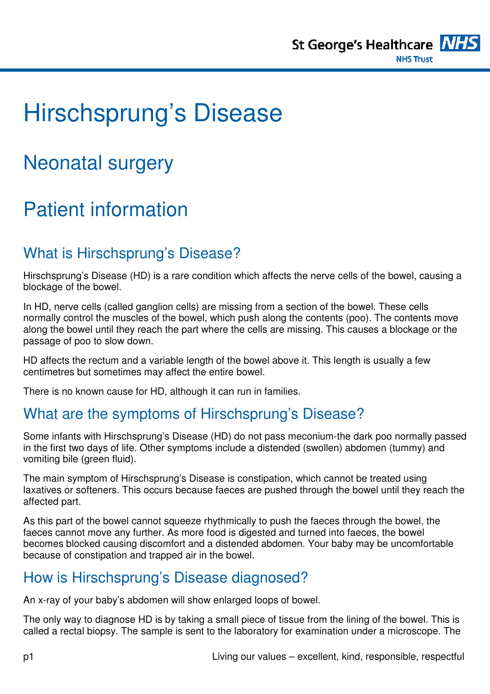

# Hirschsprung's Disease

## Neonatal surgery

## Patient information

#### What is Hirschsprung's Disease?

Hirschsprung's Disease (HD) is a rare condition which affects the nerve cells of the bowel, causing a blockage of the bowel.

In HD, nerve cells (called ganglion cells) are missing from a section of the bowel. These cells normally control the muscles of the bowel, which push along the contents (poo). The contents move along the bowel until they reach the part where the cells are missing. This causes a blockage or the passage of poo to slow down.

HD affects the rectum and a variable length of the bowel above it. This length is usually a few centimetres but sometimes may affect the entire bowel.

There is no known cause for HD, although it can run in families.

#### What are the symptoms of Hirschsprung's Disease?

Some infants with Hirschsprung's Disease (HD) do not pass meconium-the dark poo normally passed in the first two days of life. Other symptoms include a distended (swollen) abdomen (tummy) and vomiting bile (green fluid).

The main symptom of Hirschsprung's Disease is constipation, which cannot be treated using laxatives or softeners. This occurs because faeces are pushed through the bowel until they reach the affected part.

As this part of the bowel cannot squeeze rhythmically to push the faeces through the bowel, the faeces cannot move any further. As more food is digested and turned into faeces, the bowel becomes blocked causing discomfort and a distended abdomen. Your baby may be uncomfortable because of constipation and trapped air in the bowel.

#### How is Hirschsprung's Disease diagnosed?

An x-ray of your baby's abdomen will show enlarged loops of bowel.

The only way to diagnose HD is by taking a small piece of tissue from the lining of the bowel. This is called a rectal biopsy. The sample is sent to the laboratory for examination under a microscope. The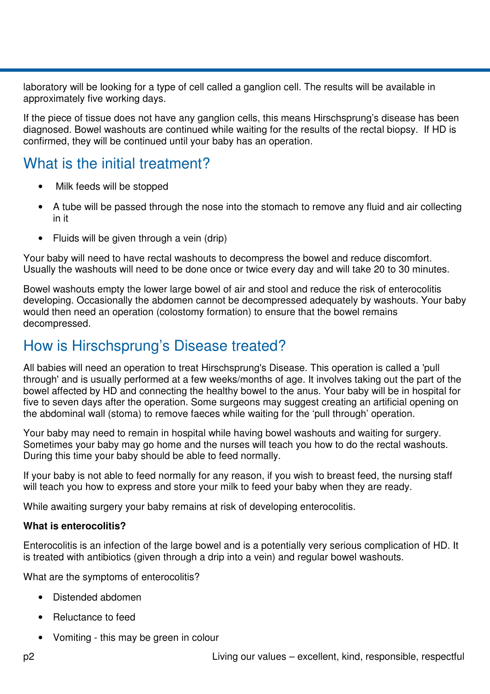laboratory will be looking for a type of cell called a ganglion cell. The results will be available in approximately five working days.

If the piece of tissue does not have any ganglion cells, this means Hirschsprung's disease has been diagnosed. Bowel washouts are continued while waiting for the results of the rectal biopsy. If HD is confirmed, they will be continued until your baby has an operation.

### What is the initial treatment?

- Milk feeds will be stopped
- A tube will be passed through the nose into the stomach to remove any fluid and air collecting in it
- Fluids will be given through a vein (drip)

Your baby will need to have rectal washouts to decompress the bowel and reduce discomfort. Usually the washouts will need to be done once or twice every day and will take 20 to 30 minutes.

Bowel washouts empty the lower large bowel of air and stool and reduce the risk of enterocolitis developing. Occasionally the abdomen cannot be decompressed adequately by washouts. Your baby would then need an operation (colostomy formation) to ensure that the bowel remains decompressed.

#### How is Hirschsprung's Disease treated?

All babies will need an operation to treat Hirschsprung's Disease. This operation is called a 'pull through' and is usually performed at a few weeks/months of age. It involves taking out the part of the bowel affected by HD and connecting the healthy bowel to the anus. Your baby will be in hospital for five to seven days after the operation. Some surgeons may suggest creating an artificial opening on the abdominal wall (stoma) to remove faeces while waiting for the 'pull through' operation.

Your baby may need to remain in hospital while having bowel washouts and waiting for surgery. Sometimes your baby may go home and the nurses will teach you how to do the rectal washouts. During this time your baby should be able to feed normally.

If your baby is not able to feed normally for any reason, if you wish to breast feed, the nursing staff will teach you how to express and store your milk to feed your baby when they are ready.

While awaiting surgery your baby remains at risk of developing enterocolitis.

#### **What is enterocolitis?**

Enterocolitis is an infection of the large bowel and is a potentially very serious complication of HD. It is treated with antibiotics (given through a drip into a vein) and regular bowel washouts.

What are the symptoms of enterocolitis?

- Distended abdomen
- Reluctance to feed
- Vomiting this may be green in colour